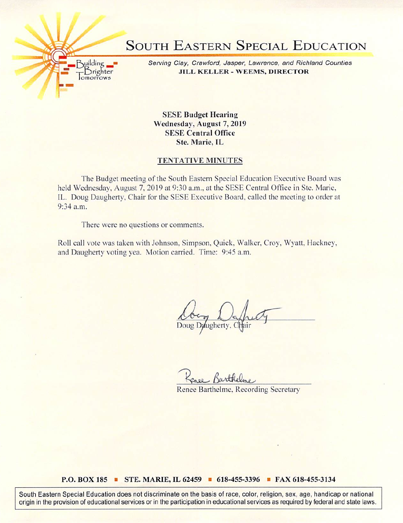

Serving Clay, Crawford, Jasper, Lawrence, and Richland Counties JILL KELLER - WEEMS, DIRECTOR

SESE Budget Hearing Wednesday, August 7, 2019 SESE Central Office Ste. Marie, IL

## TENTATIVE MINUTES

The Budget meeting of the South Eastern Special Education Executive Board was held Wednesday, August 7, 2019 at 9:30 a.m., at the SESE Central Office in Ste. Marie, IL. Doug Daugherty. Chair for the SESE Executive Board, called the meeting to order at 9:34 a.m.

There were no questions or comments.

**Building** Drighter omorrows

Roll call vote was taken with Johnson. Simpson. Quick. Walker. Croy, Wyatt, Hackney, and Daugherty voting yea. Motion carried. Time: 9:45 a.m.

Doug Daugherty, Chair

Renee Barthelme. Recording Secretary

## P.O. BOX 185 ■ STE. MARIE, IL 62459 ■ 618-455-3396 ■ FAX 618-455-3134

South Eastern Special Education does not discriminate on the basis of race, color, religion, sex, age, handicap or national origin in the provision of educational services or in the participation in educational services as required by federal and state laws.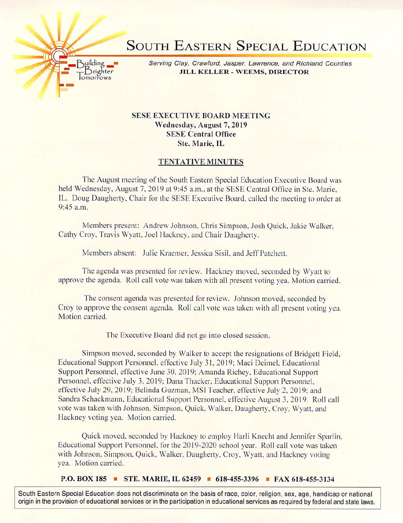

Ruilding **Serving Clay, Crawford, Jasper, Lawrence, and Richland Counties** Brighter JILL KELLER - WEEMS, DIRECTOR

## SESE EXECUTIVE BOARD MEETING Wednesday, August 7,2019 SESE Central Office Ste. Marie, IL

 $\overline{\overline{\mathrm{om}}\mathrm{orrow}}$ 

## TENTATIVE MINUTES

The August meeting of the South Eastern Special Education Executive Board was held Wednesday, August 7, 2019 at 9:45 a.m., at the SESE Central Office in Ste. Marie, IL. Doug Daugherty. Chair for the SESE Exeeutive Board, called the meeting to order at  $9:45$  a.m.

Members present: Andrew Johnson. Chris Simpson. Josh Quick. Jakie Walker. Cathy Croy, Travis Wyatt. Joel Hackney, and Chair Daugherty.

Members absent: Julie Kraemer, Jessica Sisil, and Jeff Patchett.

The agenda was presented for review. Hackney moved, seconded by Wyatt to approve the agenda. Roll call vote was taken with all present voting yea. Motion carried.

The consent agenda was presented for review. Johnson moved, seconded by Croy to approve the consent agenda. Roll call vole was taken with all present voting yea. Motion carried.

The Executive Board did not go into closed session.

Simpson moved, seconded by Walker to accept the resignations of Bridgett Field, Educational Support Personnel, effective July 31, 2019; Maci Deimel, Educational Support Personnel, effective June 30. 2019: Amanda Richey. Educational Support Personnel, effective July 3, 2019; Dana Thacker, Educational Support Personnel, effective July 29. 2019; Belinda Guzman. MSI Teacher, effective July 2. 2019; and Sandra Schackmann. Educational Support Personnel, effective August 3. 2019. Roll call vole was taken with Johnson. Simpson. Quick. Walker. Daugherty. Croy. Wyatt. and Hackney voting yea. Motion carried.

Quick moved, seconded by Hackney to employ Harll Knecht and Jennifer Sparlin. Educational Support Personnel, for the 2019-2020 school year. Roll call vote was taken with Johnson, Simpson, Quick, Walker, Daugherty, Croy, Wyatt, and Hackney voting yea. Motion carried.

P.O. BOX 185 ■ STE. MARIE, IL 62459 ■ 618-455-3396 ■ FAX 618-455-3134

South Eastern Special Education does not discriminate on the basis of race, color, religion, sex, age, handicap or national origin in the provision of educational services or in the participation in educational services as required by federal and state laws.